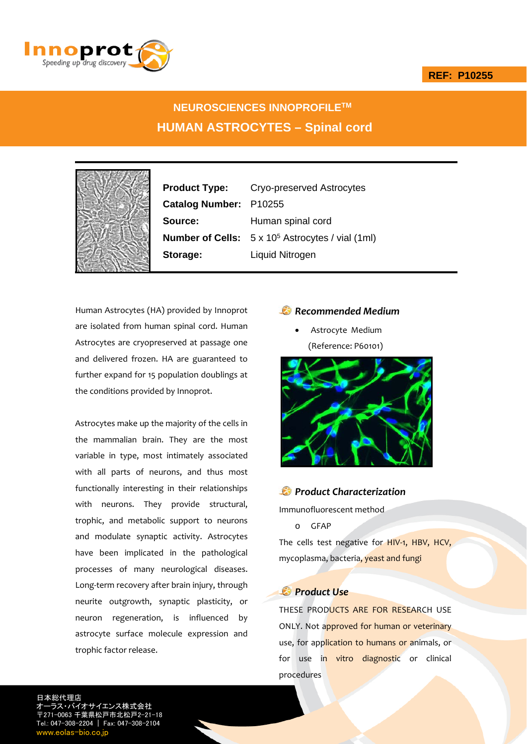



# **NEUROSCIENCES INNOPROFILETM HUMAN ASTROCYTES – Spinal cord**



**Product Type:** Cryo-preserved Astrocytes **Catalog Number:** P10255 **Source:** Human spinal cord **Number of Cells:**  $5 \times 10^5$  Astrocytes / vial (1ml) **Storage:** Liquid Nitrogen

Human Astrocytes (HA) provided by Innoprot are isolated from human spinal cord. Human Astrocytes are cryopreserved at passage one and delivered frozen. HA are guaranteed to further expand for 15 population doublings at the conditions provided by Innoprot.

Astrocytes make up the majority of the cells in the mammalian brain. They are the most variable in type, most intimately associated with all parts of neurons, and thus most functionally interesting in their relationships with neurons. They provide structural, trophic, and metabolic support to neurons and modulate synaptic activity. Astrocytes have been implicated in the pathological processes of many neurological diseases. Long‐term recovery after brain injury, through neurite outgrowth, synaptic plasticity, or neuron regeneration, is influenced by astrocyte surface molecule expression and trophic factor release.

## *Recommended Medium*

 Astrocyte Medium (Reference: P60101)



### *Product Characterization*

Immunofluorescent method

o GFAP

The cells test negative for HIV-1, HBV, HCV, mycoplasma, bacteria, yeast and fungi

# *Product Use*

THESE PRODUCTS ARE FOR RESEARCH USE ONLY. Not approved for human or veterinary use, for application to humans or animals, or for use in vitro diagnostic or clinical procedures

日本総代理店 サイエンス株式会社 〒271-0063 千葉県松戸市北松戸2-21-18 Tel.: 047-308-2204 | Fax: 047-308-2104 w.eolas-bio.co.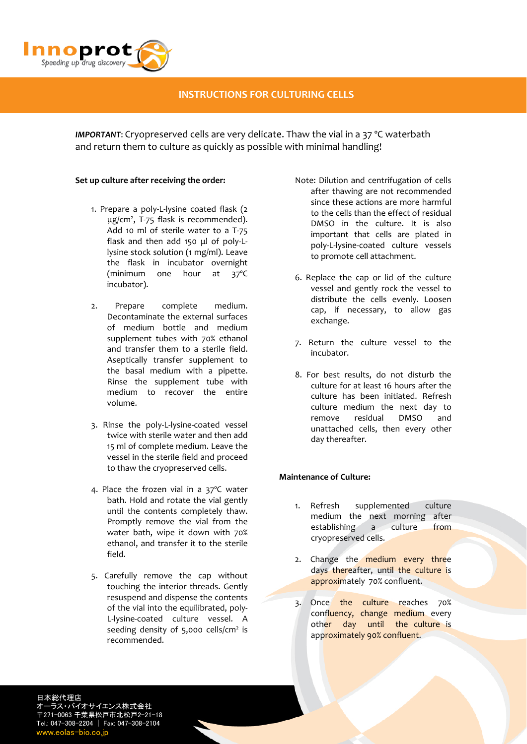

### **INSTRUCTIONS FOR CULTURING CELLS**

*IMPORTANT*: Cryopreserved cells are very delicate. Thaw the vial in a 37 ºC waterbath and return them to culture as quickly as possible with minimal handling!

#### **Set up culture after receiving the order:**

- 1. Prepare a poly‐L‐lysine coated flask (2 μg/cm2 , T‐75 flask is recommended). Add 10 ml of sterile water to a T‐75 flask and then add 150 μl of poly‐L‐ lysine stock solution (1 mg/ml). Leave the flask in incubator overnight (minimum one hour at 37ºC incubator).
- 2. Prepare complete medium. Decontaminate the external surfaces of medium bottle and medium supplement tubes with 70% ethanol and transfer them to a sterile field. Aseptically transfer supplement to the basal medium with a pipette. Rinse the supplement tube with medium to recover the entire volume.
- 3. Rinse the poly‐L‐lysine‐coated vessel twice with sterile water and then add 15 ml of complete medium. Leave the vessel in the sterile field and proceed to thaw the cryopreserved cells.
- 4. Place the frozen vial in a 37ºC water bath. Hold and rotate the vial gently until the contents completely thaw. Promptly remove the vial from the water bath, wipe it down with 70% ethanol, and transfer it to the sterile field.
- 5. Carefully remove the cap without touching the interior threads. Gently resuspend and dispense the contents of the vial into the equilibrated, poly‐ L‐lysine‐coated culture vessel. A seeding density of  $5,000$  cells/cm<sup>2</sup> is recommended.
- Note: Dilution and centrifugation of cells after thawing are not recommended since these actions are more harmful to the cells than the effect of residual DMSO in the culture. It is also important that cells are plated in poly‐L‐lysine‐coated culture vessels to promote cell attachment.
- 6. Replace the cap or lid of the culture vessel and gently rock the vessel to distribute the cells evenly. Loosen cap, if necessary, to allow gas exchange.
- 7. Return the culture vessel to the incubator.
- 8. For best results, do not disturb the culture for at least 16 hours after the culture has been initiated. Refresh culture medium the next day to remove residual DMSO and unattached cells, then every other day thereafter.

#### **Maintenance of Culture:**

- 1. Refresh supplemented culture medium the next morning after<br>establishing a culture from establishing a culture from cryopreserved cells.
- 2. Change the medium every three days thereafter, until the culture is approximately 70% confluent.
- 3. Once the culture reaches 70% confluency, change medium every other day until the culture is approximately 90% confluent.

日本総代理店 ラス・バイオサイエンス株式会社 〒271-0063 千葉県松戸市北松戸2-21-18 Tel.: 047-308-2204 | Fax: 047-308-2104 www.eolas-bio.co.